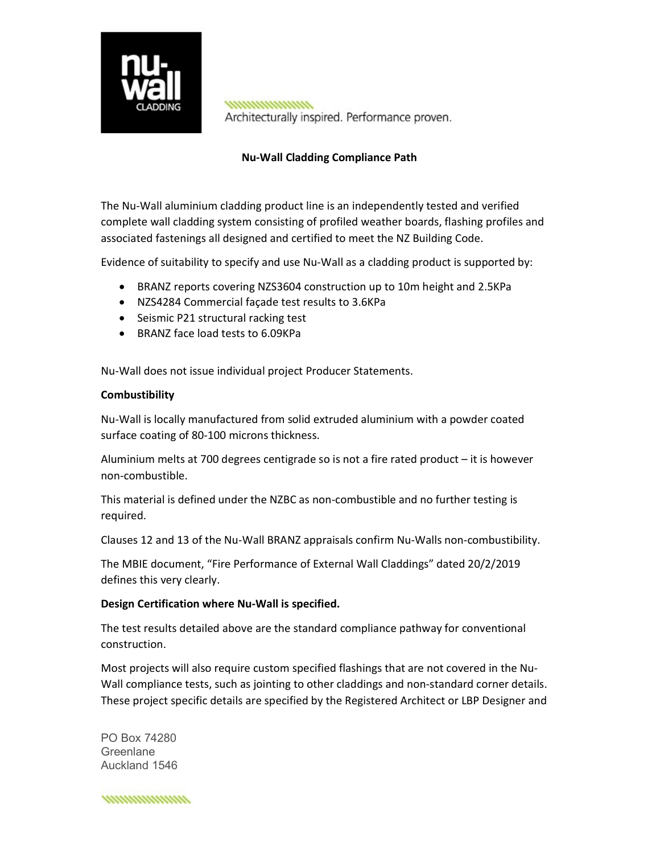

,,,,,,,,,,,,,,,,,,,, Architecturally inspired. Performance proven.

## Nu-Wall Cladding Compliance Path

The Nu-Wall aluminium cladding product line is an independently tested and verified complete wall cladding system consisting of profiled weather boards, flashing profiles and associated fastenings all designed and certified to meet the NZ Building Code.

Evidence of suitability to specify and use Nu-Wall as a cladding product is supported by:

- BRANZ reports covering NZS3604 construction up to 10m height and 2.5KPa
- NZS4284 Commercial façade test results to 3.6KPa
- Seismic P21 structural racking test
- BRANZ face load tests to 6.09KPa

Nu-Wall does not issue individual project Producer Statements.

## **Combustibility**

Nu-Wall is locally manufactured from solid extruded aluminium with a powder coated surface coating of 80-100 microns thickness.

Aluminium melts at 700 degrees centigrade so is not a fire rated product – it is however non-combustible.

This material is defined under the NZBC as non-combustible and no further testing is required.

Clauses 12 and 13 of the Nu-Wall BRANZ appraisals confirm Nu-Walls non-combustibility.

The MBIE document, "Fire Performance of External Wall Claddings" dated 20/2/2019 defines this very clearly.

## Design Certification where Nu-Wall is specified.

The test results detailed above are the standard compliance pathway for conventional construction.

Most projects will also require custom specified flashings that are not covered in the Nu-Wall compliance tests, such as jointing to other claddings and non-standard corner details. These project specific details are specified by the Registered Architect or LBP Designer and

PO Box 74280 **Greenlane** Auckland 1546

,,,,,,,,,,,,,,,,,,,,